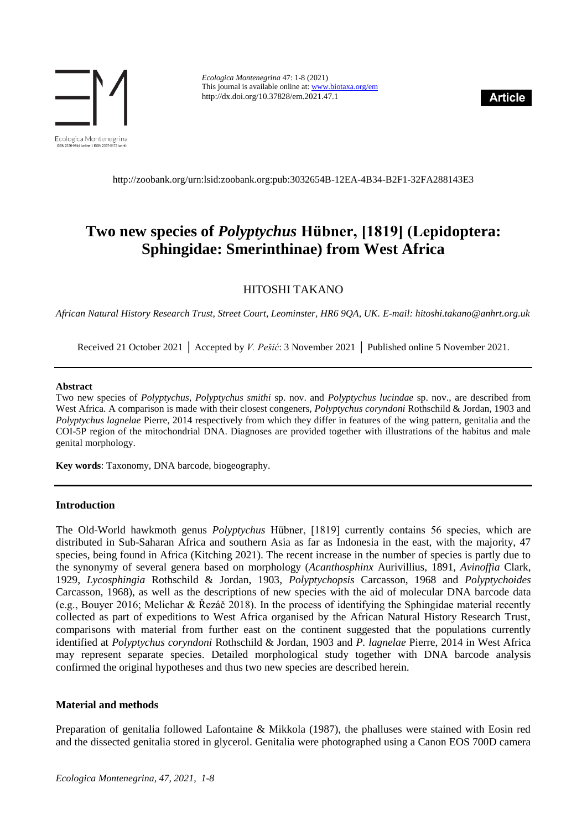

*Ecologica Montenegrina* 47: 1-8 (2021) This journal is available online at[: www.biotaxa.org/em](http://www.biotaxa.org/em) http://dx.doi.org/10.37828/em.2021.47.1



<http://zoobank.org/urn:lsid:zoobank.org:pub:3032654B-12EA-4B34-B2F1-32FA288143E3>

# **Two new species of** *Polyptychus* **Hübner, [1819] (Lepidoptera: Sphingidae: Smerinthinae) from West Africa**

# HITOSHI TAKANO

*African Natural History Research Trust, Street Court, Leominster, HR6 9QA, UK. E-mail: hitoshi.takano@anhrt.org.uk*

Received 21 October 2021 │ Accepted by *V. Pešić*: 3 November 2021 │ Published online 5 November 2021.

#### **Abstract**

Two new species of *Polyptychus*, *Polyptychus smithi* sp. nov. and *Polyptychus lucindae* sp. nov., are described from West Africa. A comparison is made with their closest congeners, *Polyptychus coryndoni* Rothschild & Jordan, 1903 and *Polyptychus lagnelae* Pierre, 2014 respectively from which they differ in features of the wing pattern, genitalia and the COI-5P region of the mitochondrial DNA. Diagnoses are provided together with illustrations of the habitus and male genital morphology.

**Key words**: Taxonomy, DNA barcode, biogeography.

### **Introduction**

The Old-World hawkmoth genus *Polyptychus* Hübner, [1819] currently contains 56 species, which are distributed in Sub-Saharan Africa and southern Asia as far as Indonesia in the east, with the majority, 47 species, being found in Africa (Kitching 2021). The recent increase in the number of species is partly due to the synonymy of several genera based on morphology (*Acanthosphinx* Aurivillius, 1891, *Avinoffia* Clark, 1929, *Lycosphingia* Rothschild & Jordan, 1903, *Polyptychopsis* Carcasson, 1968 and *Polyptychoides* Carcasson, 1968), as well as the descriptions of new species with the aid of molecular DNA barcode data (e.g., Bouyer 2016; Melichar & Řezáč 2018). In the process of identifying the Sphingidae material recently collected as part of expeditions to West Africa organised by the African Natural History Research Trust, comparisons with material from further east on the continent suggested that the populations currently identified at *Polyptychus coryndoni* Rothschild & Jordan, 1903 and *P. lagnelae* Pierre, 2014 in West Africa may represent separate species. Detailed morphological study together with DNA barcode analysis confirmed the original hypotheses and thus two new species are described herein.

### **Material and methods**

Preparation of genitalia followed Lafontaine & Mikkola (1987), the phalluses were stained with Eosin red and the dissected genitalia stored in glycerol. Genitalia were photographed using a Canon EOS 700D camera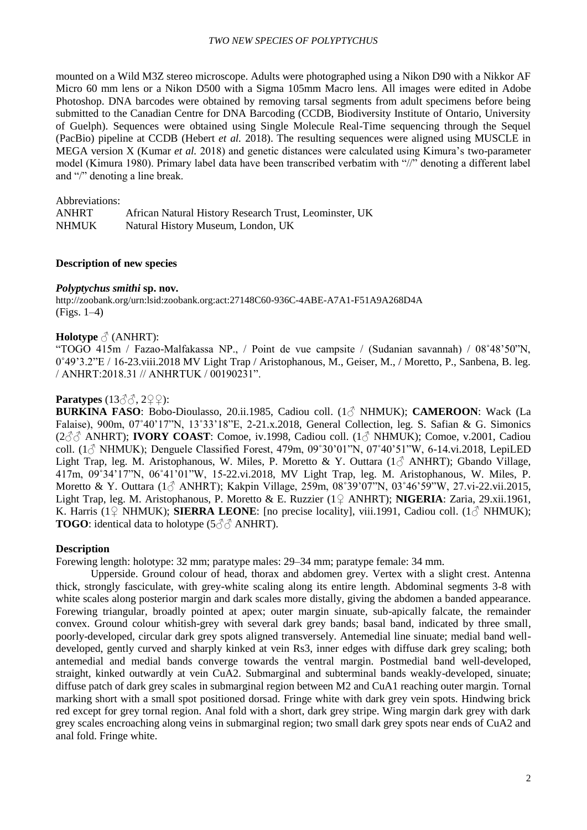### *TWO NEW SPECIES OF POLYPTYCHUS*

mounted on a Wild M3Z stereo microscope. Adults were photographed using a Nikon D90 with a Nikkor AF Micro 60 mm lens or a Nikon D500 with a Sigma 105mm Macro lens. All images were edited in Adobe Photoshop. DNA barcodes were obtained by removing tarsal segments from adult specimens before being submitted to the Canadian Centre for DNA Barcoding (CCDB, Biodiversity Institute of Ontario, University of Guelph). Sequences were obtained using Single Molecule Real-Time sequencing through the Sequel (PacBio) pipeline at CCDB (Hebert *et al.* 2018). The resulting sequences were aligned using MUSCLE in MEGA version X (Kumar *et al.* 2018) and genetic distances were calculated using Kimura's two-parameter model (Kimura 1980). Primary label data have been transcribed verbatim with "//" denoting a different label and "/" denoting a line break.

Abbreviations:

| <b>ANHRT</b> | African Natural History Research Trust, Leominster, UK |
|--------------|--------------------------------------------------------|
| <b>NHMUK</b> | Natural History Museum, London, UK                     |

### **Description of new species**

### *Polyptychus smithi* **sp. nov.**

<http://zoobank.org/urn:lsid:zoobank.org:act:27148C60-936C-4ABE-A7A1-F51A9A268D4A> (Figs. 1–4)

### **Holotype** ♂ (ANHRT):

"TOGO 415m / Fazao-Malfakassa NP., / Point de vue campsite / (Sudanian savannah) / 08˚48'50"N, 0˚49'3.2"E / 16-23.viii.2018 MV Light Trap / Aristophanous, M., Geiser, M., / Moretto, P., Sanbena, B. leg. / ANHRT:2018.31 // ANHRTUK / 00190231".

# **Paratypes** (13♂, 299):

**BURKINA FASO**: Bobo-Dioulasso, 20.ii.1985, Cadiou coll. (1♂ NHMUK); **CAMEROON**: Wack (La Falaise), 900m, 07˚40'17"N, 13˚33'18"E, 2-21.x.2018, General Collection, leg. S. Safian & G. Simonics (2♂♂ ANHRT); **IVORY COAST**: Comoe, iv.1998, Cadiou coll. (1♂ NHMUK); Comoe, v.2001, Cadiou coll. ( $1\textdegree$  NHMUK); Denguele Classified Forest, 479m,  $09^{\circ}30^{\circ}01^{\prime\prime}N$ ,  $07^{\circ}40^{\prime}51^{\prime\prime}W$ , 6-14.vi.2018, LepiLED Light Trap, leg. M. Aristophanous, W. Miles, P. Moretto & Y. Outtara  $(1\hat{\triangle}$  ANHRT); Gbando Village, 417m, 09˚34'17"N, 06˚41'01"W, 15-22.vi.2018, MV Light Trap, leg. M. Aristophanous, W. Miles, P. Moretto & Y. Outtara (1♂ ANHRT); Kakpin Village, 259m, 08˚39'07"N, 03˚46'59"W, 27.vi-22.vii.2015, Light Trap, leg. M. Aristophanous, P. Moretto & E. Ruzzier (1♀ ANHRT); **NIGERIA**: Zaria, 29.xii.1961, K. Harris (1♀ NHMUK); **SIERRA LEONE**: [no precise locality], viii.1991, Cadiou coll. (1♂ NHMUK); **TOGO**: identical data to holotype (5 $\beta \beta$ ) ANHRT).

# **Description**

Forewing length: holotype: 32 mm; paratype males: 29–34 mm; paratype female: 34 mm.

Upperside. Ground colour of head, thorax and abdomen grey. Vertex with a slight crest. Antenna thick, strongly fasciculate, with grey-white scaling along its entire length. Abdominal segments 3-8 with white scales along posterior margin and dark scales more distally, giving the abdomen a banded appearance. Forewing triangular, broadly pointed at apex; outer margin sinuate, sub-apically falcate, the remainder convex. Ground colour whitish-grey with several dark grey bands; basal band, indicated by three small, poorly-developed, circular dark grey spots aligned transversely. Antemedial line sinuate; medial band welldeveloped, gently curved and sharply kinked at vein Rs3, inner edges with diffuse dark grey scaling; both antemedial and medial bands converge towards the ventral margin. Postmedial band well-developed, straight, kinked outwardly at vein CuA2. Submarginal and subterminal bands weakly-developed, sinuate; diffuse patch of dark grey scales in submarginal region between M2 and CuA1 reaching outer margin. Tornal marking short with a small spot positioned dorsad. Fringe white with dark grey vein spots. Hindwing brick red except for grey tornal region. Anal fold with a short, dark grey stripe. Wing margin dark grey with dark grey scales encroaching along veins in submarginal region; two small dark grey spots near ends of CuA2 and anal fold. Fringe white.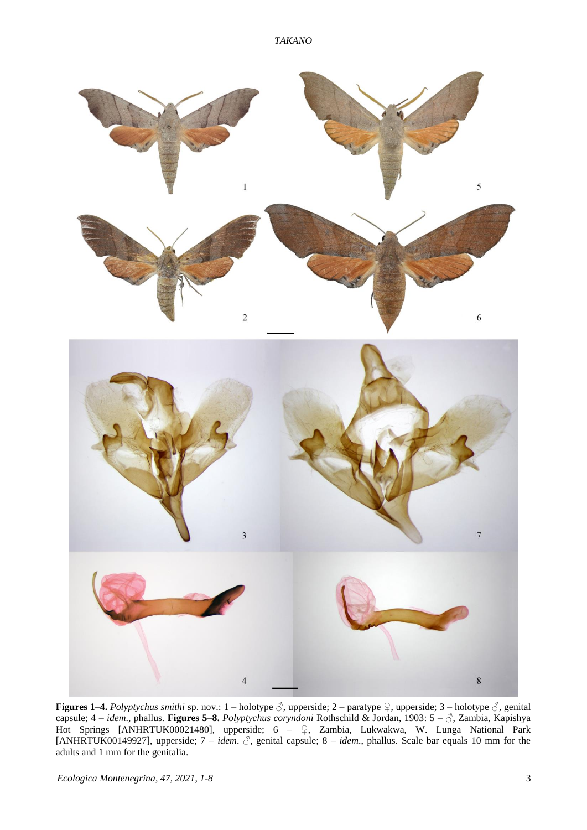



**Figures 1–4.** *Polyptychus smithi* sp. nov.: 1 – holotype  $\circled{S}$ , upperside; 2 – paratype  $\circled{P}$ , upperside; 3 – holotype  $\circled{S}$ , genital capsule; 4 – *idem*., phallus. **Figures 5–8.** *Polyptychus coryndoni* Rothschild & Jordan, 1903: 5 – ♂, Zambia, Kapishya Hot Springs [ANHRTUK00021480], upperside; 6 – ♀, Zambia, Lukwakwa, W. Lunga National Park [ANHRTUK00149927], upperside;  $7 - idem$ .  $\delta$ , genital capsule;  $8 - idem$ , phallus. Scale bar equals 10 mm for the adults and 1 mm for the genitalia.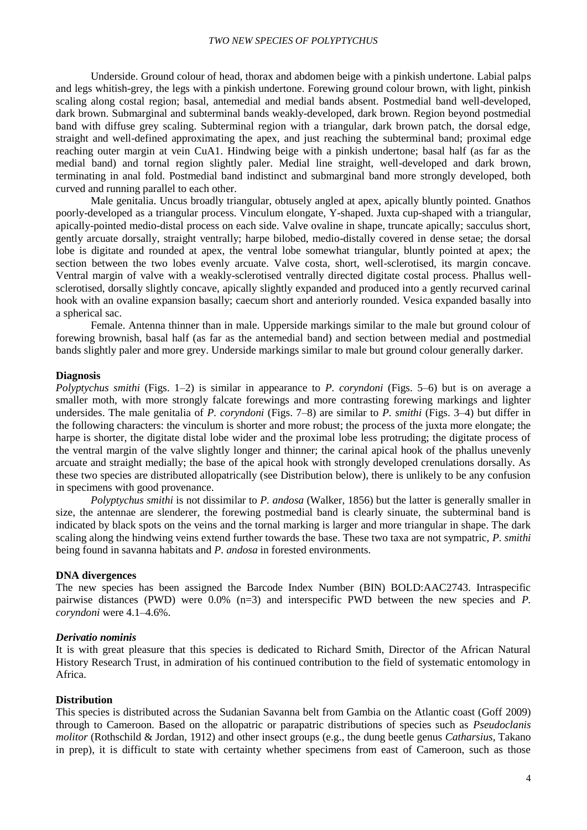#### *TWO NEW SPECIES OF POLYPTYCHUS*

Underside. Ground colour of head, thorax and abdomen beige with a pinkish undertone. Labial palps and legs whitish-grey, the legs with a pinkish undertone. Forewing ground colour brown, with light, pinkish scaling along costal region; basal, antemedial and medial bands absent. Postmedial band well-developed, dark brown. Submarginal and subterminal bands weakly-developed, dark brown. Region beyond postmedial band with diffuse grey scaling. Subterminal region with a triangular, dark brown patch, the dorsal edge, straight and well-defined approximating the apex, and just reaching the subterminal band; proximal edge reaching outer margin at vein CuA1. Hindwing beige with a pinkish undertone; basal half (as far as the medial band) and tornal region slightly paler. Medial line straight, well-developed and dark brown, terminating in anal fold. Postmedial band indistinct and submarginal band more strongly developed, both curved and running parallel to each other.

Male genitalia. Uncus broadly triangular, obtusely angled at apex, apically bluntly pointed. Gnathos poorly-developed as a triangular process. Vinculum elongate, Y-shaped. Juxta cup-shaped with a triangular, apically-pointed medio-distal process on each side. Valve ovaline in shape, truncate apically; sacculus short, gently arcuate dorsally, straight ventrally; harpe bilobed, medio-distally covered in dense setae; the dorsal lobe is digitate and rounded at apex, the ventral lobe somewhat triangular, bluntly pointed at apex; the section between the two lobes evenly arcuate. Valve costa, short, well-sclerotised, its margin concave. Ventral margin of valve with a weakly-sclerotised ventrally directed digitate costal process. Phallus wellsclerotised, dorsally slightly concave, apically slightly expanded and produced into a gently recurved carinal hook with an ovaline expansion basally; caecum short and anteriorly rounded. Vesica expanded basally into a spherical sac.

Female. Antenna thinner than in male. Upperside markings similar to the male but ground colour of forewing brownish, basal half (as far as the antemedial band) and section between medial and postmedial bands slightly paler and more grey. Underside markings similar to male but ground colour generally darker.

#### **Diagnosis**

*Polyptychus smithi* (Figs. 1–2) is similar in appearance to *P. coryndoni* (Figs. 5–6) but is on average a smaller moth, with more strongly falcate forewings and more contrasting forewing markings and lighter undersides. The male genitalia of *P. coryndoni* (Figs. 7–8) are similar to *P. smithi* (Figs. 3–4) but differ in the following characters: the vinculum is shorter and more robust; the process of the juxta more elongate; the harpe is shorter, the digitate distal lobe wider and the proximal lobe less protruding; the digitate process of the ventral margin of the valve slightly longer and thinner; the carinal apical hook of the phallus unevenly arcuate and straight medially; the base of the apical hook with strongly developed crenulations dorsally. As these two species are distributed allopatrically (see Distribution below), there is unlikely to be any confusion in specimens with good provenance.

*Polyptychus smithi* is not dissimilar to *P. andosa* (Walker, 1856) but the latter is generally smaller in size, the antennae are slenderer, the forewing postmedial band is clearly sinuate, the subterminal band is indicated by black spots on the veins and the tornal marking is larger and more triangular in shape. The dark scaling along the hindwing veins extend further towards the base. These two taxa are not sympatric, *P. smithi* being found in savanna habitats and *P. andosa* in forested environments.

#### **DNA divergences**

The new species has been assigned the Barcode Index Number (BIN) BOLD:AAC2743. Intraspecific pairwise distances (PWD) were 0.0% (n=3) and interspecific PWD between the new species and *P. coryndoni* were 4.1–4.6%.

#### *Derivatio nominis*

It is with great pleasure that this species is dedicated to Richard Smith, Director of the African Natural History Research Trust, in admiration of his continued contribution to the field of systematic entomology in Africa.

#### **Distribution**

This species is distributed across the Sudanian Savanna belt from Gambia on the Atlantic coast (Goff 2009) through to Cameroon. Based on the allopatric or parapatric distributions of species such as *Pseudoclanis molitor* (Rothschild & Jordan, 1912) and other insect groups (e.g., the dung beetle genus *Catharsius*, Takano in prep), it is difficult to state with certainty whether specimens from east of Cameroon, such as those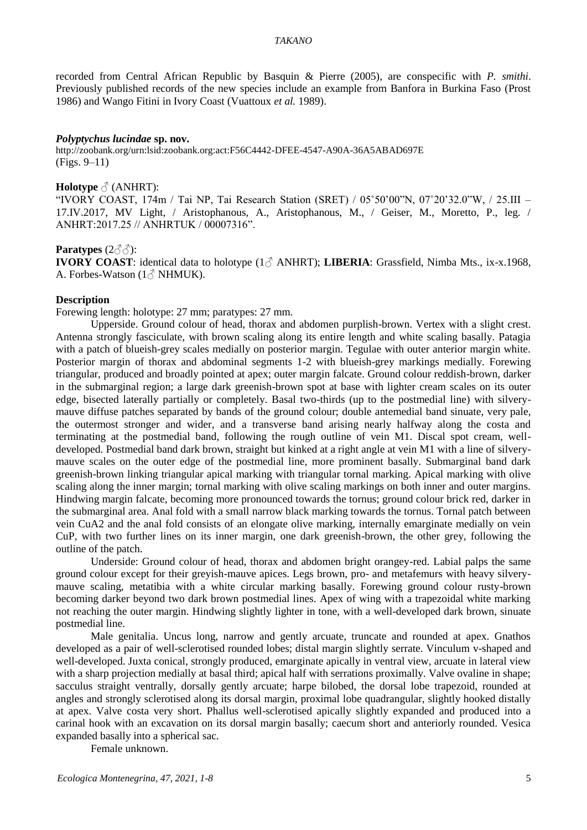recorded from Central African Republic by Basquin & Pierre (2005), are conspecific with *P. smithi*. Previously published records of the new species include an example from Banfora in Burkina Faso (Prost 1986) and Wango Fitini in Ivory Coast (Vuattoux *et al.* 1989).

#### *Polyptychus lucindae* **sp. nov.**

<http://zoobank.org/urn:lsid:zoobank.org:act:F56C4442-DFEE-4547-A90A-36A5ABAD697E> (Figs. 9–11)

#### **Holotype** ♂ (ANHRT):

"IVORY COAST, 174m / Tai NP, Tai Research Station (SRET) / 05˚50'00"N, 07˚20'32.0"W, / 25.III – 17.IV.2017, MV Light, / Aristophanous, A., Aristophanous, M., / Geiser, M., Moretto, P., leg. / ANHRT:2017.25 // ANHRTUK / 00007316".

#### **Paratypes**  $(2\text{d}\text{d})$ :

**IVORY COAST**: identical data to holotype (1♂ ANHRT); **LIBERIA**: Grassfield, Nimba Mts., ix-x.1968, A. Forbes-Watson  $(1\text{ and } 1\text{)}$  NHMUK).

### **Description**

Forewing length: holotype: 27 mm; paratypes: 27 mm.

Upperside. Ground colour of head, thorax and abdomen purplish-brown. Vertex with a slight crest. Antenna strongly fasciculate, with brown scaling along its entire length and white scaling basally. Patagia with a patch of blueish-grey scales medially on posterior margin. Tegulae with outer anterior margin white. Posterior margin of thorax and abdominal segments 1-2 with blueish-grey markings medially. Forewing triangular, produced and broadly pointed at apex; outer margin falcate. Ground colour reddish-brown, darker in the submarginal region; a large dark greenish-brown spot at base with lighter cream scales on its outer edge, bisected laterally partially or completely. Basal two-thirds (up to the postmedial line) with silverymauve diffuse patches separated by bands of the ground colour; double antemedial band sinuate, very pale, the outermost stronger and wider, and a transverse band arising nearly halfway along the costa and terminating at the postmedial band, following the rough outline of vein M1. Discal spot cream, welldeveloped. Postmedial band dark brown, straight but kinked at a right angle at vein M1 with a line of silverymauve scales on the outer edge of the postmedial line, more prominent basally. Submarginal band dark greenish-brown linking triangular apical marking with triangular tornal marking. Apical marking with olive scaling along the inner margin; tornal marking with olive scaling markings on both inner and outer margins. Hindwing margin falcate, becoming more pronounced towards the tornus; ground colour brick red, darker in the submarginal area. Anal fold with a small narrow black marking towards the tornus. Tornal patch between vein CuA2 and the anal fold consists of an elongate olive marking, internally emarginate medially on vein CuP, with two further lines on its inner margin, one dark greenish-brown, the other grey, following the outline of the patch.

Underside: Ground colour of head, thorax and abdomen bright orangey-red. Labial palps the same ground colour except for their greyish-mauve apices. Legs brown, pro- and metafemurs with heavy silverymauve scaling, metatibia with a white circular marking basally. Forewing ground colour rusty-brown becoming darker beyond two dark brown postmedial lines. Apex of wing with a trapezoidal white marking not reaching the outer margin. Hindwing slightly lighter in tone, with a well-developed dark brown, sinuate postmedial line.

Male genitalia. Uncus long, narrow and gently arcuate, truncate and rounded at apex. Gnathos developed as a pair of well-sclerotised rounded lobes; distal margin slightly serrate. Vinculum v-shaped and well-developed. Juxta conical, strongly produced, emarginate apically in ventral view, arcuate in lateral view with a sharp projection medially at basal third; apical half with serrations proximally. Valve ovaline in shape; sacculus straight ventrally, dorsally gently arcuate; harpe bilobed, the dorsal lobe trapezoid, rounded at angles and strongly sclerotised along its dorsal margin, proximal lobe quadrangular, slightly hooked distally at apex. Valve costa very short. Phallus well-sclerotised apically slightly expanded and produced into a carinal hook with an excavation on its dorsal margin basally; caecum short and anteriorly rounded. Vesica expanded basally into a spherical sac.

Female unknown.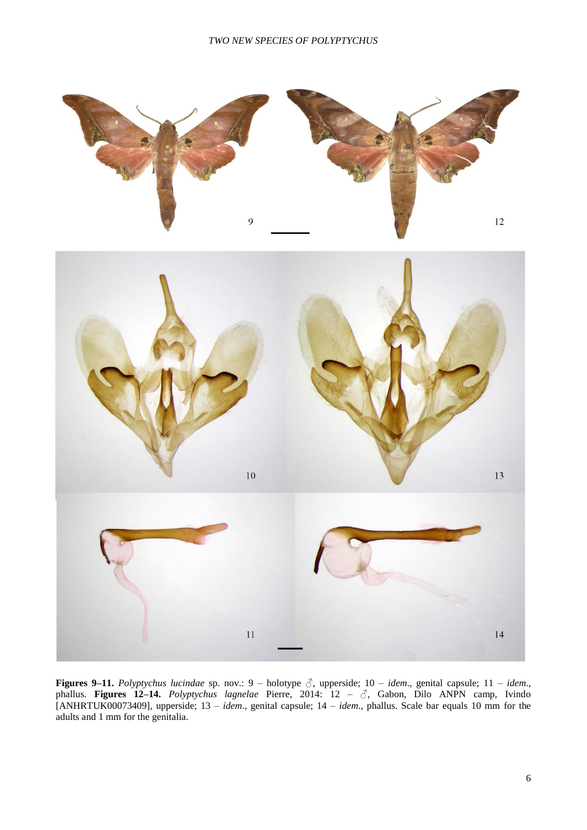

**Figures 9–11.** *Polyptychus lucindae* sp. nov.: 9 – holotype ♂, upperside; 10 – *idem*., genital capsule; 11 – *idem*., phallus. **Figures 12–14.** *Polyptychus lagnelae* Pierre, 2014: 12 – ♂, Gabon, Dilo ANPN camp, Ivindo [ANHRTUK00073409], upperside; 13 – *idem*., genital capsule; 14 – *idem*., phallus. Scale bar equals 10 mm for the adults and 1 mm for the genitalia.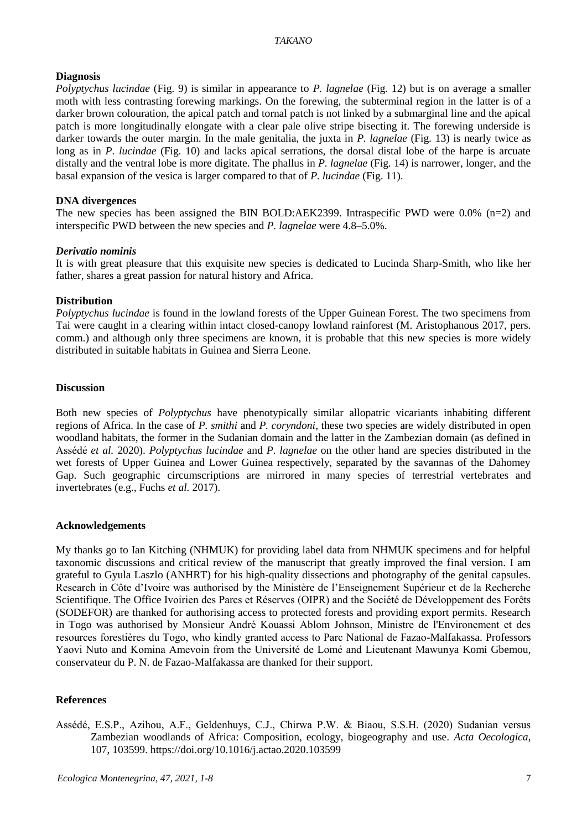# **Diagnosis**

*Polyptychus lucindae* (Fig. 9) is similar in appearance to *P. lagnelae* (Fig. 12) but is on average a smaller moth with less contrasting forewing markings. On the forewing, the subterminal region in the latter is of a darker brown colouration, the apical patch and tornal patch is not linked by a submarginal line and the apical patch is more longitudinally elongate with a clear pale olive stripe bisecting it. The forewing underside is darker towards the outer margin. In the male genitalia, the juxta in *P. lagnelae* (Fig. 13) is nearly twice as long as in *P. lucindae* (Fig. 10) and lacks apical serrations, the dorsal distal lobe of the harpe is arcuate distally and the ventral lobe is more digitate. The phallus in *P. lagnelae* (Fig. 14) is narrower, longer, and the basal expansion of the vesica is larger compared to that of *P. lucindae* (Fig. 11).

# **DNA divergences**

The new species has been assigned the BIN BOLD:AEK2399. Intraspecific PWD were  $0.0\%$  (n=2) and interspecific PWD between the new species and *P. lagnelae* were 4.8–5.0%.

# *Derivatio nominis*

It is with great pleasure that this exquisite new species is dedicated to Lucinda Sharp-Smith, who like her father, shares a great passion for natural history and Africa.

# **Distribution**

*Polyptychus lucindae* is found in the lowland forests of the Upper Guinean Forest. The two specimens from Tai were caught in a clearing within intact closed-canopy lowland rainforest (M. Aristophanous 2017, pers. comm.) and although only three specimens are known, it is probable that this new species is more widely distributed in suitable habitats in Guinea and Sierra Leone.

# **Discussion**

Both new species of *Polyptychus* have phenotypically similar allopatric vicariants inhabiting different regions of Africa. In the case of *P. smithi* and *P. coryndoni*, these two species are widely distributed in open woodland habitats, the former in the Sudanian domain and the latter in the Zambezian domain (as defined in Assédé *et al.* 2020). *Polyptychus lucindae* and *P. lagnelae* on the other hand are species distributed in the wet forests of Upper Guinea and Lower Guinea respectively, separated by the savannas of the Dahomey Gap. Such geographic circumscriptions are mirrored in many species of terrestrial vertebrates and invertebrates (e.g., Fuchs *et al.* 2017).

# **Acknowledgements**

My thanks go to Ian Kitching (NHMUK) for providing label data from NHMUK specimens and for helpful taxonomic discussions and critical review of the manuscript that greatly improved the final version. I am grateful to Gyula Laszlo (ANHRT) for his high-quality dissections and photography of the genital capsules. Research in Côte d'Ivoire was authorised by the Ministère de l'Enseignement Supérieur et de la Recherche Scientifique. The Office Ivoirien des Parcs et Réserves (OIPR) and the Société de Développement des Forêts (SODEFOR) are thanked for authorising access to protected forests and providing export permits. Research in Togo was authorised by Monsieur André Kouassi Ablom Johnson, Ministre de l'Environement et des resources forestières du Togo, who kindly granted access to Parc National de Fazao-Malfakassa. Professors Yaovi Nuto and Komina Amevoin from the Université de Lomé and Lieutenant Mawunya Komi Gbemou, conservateur du P. N. de Fazao-Malfakassa are thanked for their support.

# **References**

Assédé, E.S.P., Azihou, A.F., Geldenhuys, C.J., Chirwa P.W. & Biaou, S.S.H. (2020) Sudanian versus Zambezian woodlands of Africa: Composition, ecology, biogeography and use. *Acta Oecologica*, 107, 103599.<https://doi.org/10.1016/j.actao.2020.103599>